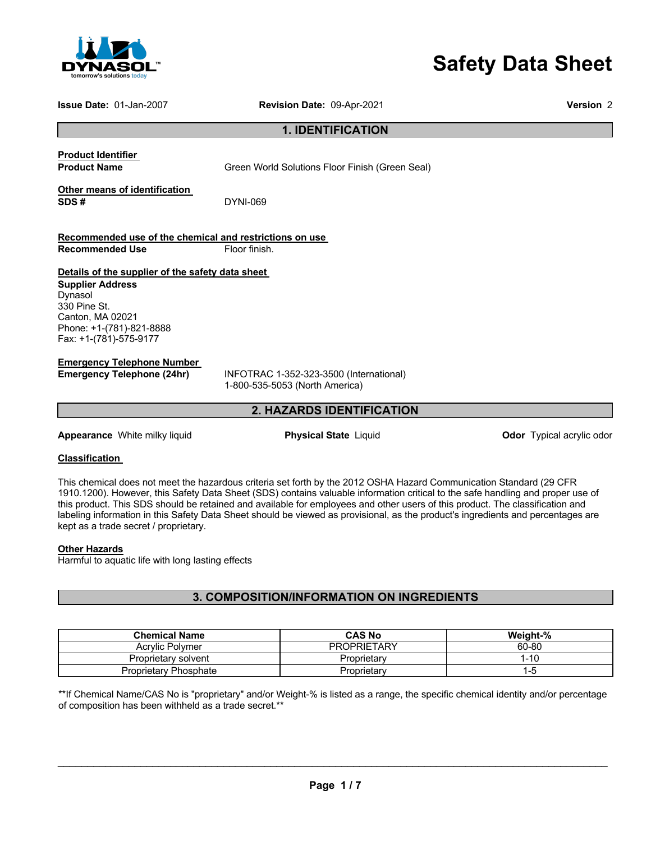

# **Safety Data Sheet**

**Issue Date:** 01-Jan-2007 **Revision Date:** 09-Apr-2021 **Version** 2

**1. IDENTIFICATION** 

**Product Identifier** 

**Product Name Green World Solutions Floor Finish (Green Seal)** 

**Other means of identification SDS #** DYNI-069

**Recommended use of the chemical and restrictions on use Recommended Use Floor finish.** 

#### **Details of the supplier of the safety data sheet**

**Supplier Address** Dynasol 330 Pine St. Canton, MA 02021 Phone: +1-(781)-821-8888 Fax: +1-(781)-575-9177

#### **Emergency Telephone Number**

**Emergency Telephone (24hr)** INFOTRAC 1-352-323-3500 (International) 1-800-535-5053 (North America)

#### **2. HAZARDS IDENTIFICATION**

**Appearance** White milky liquid **Physical State** Liquid **Constanting Constant Propearance** Milte odor

#### **Classification**

This chemical does not meet the hazardous criteria set forth by the 2012 OSHA Hazard Communication Standard (29 CFR 1910.1200). However, this Safety Data Sheet (SDS) contains valuable information critical to the safe handling and proper use of this product. This SDS should be retained and available for employees and other users of this product. The classification and labeling information in this Safety Data Sheet should be viewed as provisional, as the product's ingredients and percentages are kept as a trade secret / proprietary.

#### **Other Hazards**

Harmful to aquatic life with long lasting effects

#### **3. COMPOSITION/INFORMATION ON INGREDIENTS**

| <b>Chemical Name</b>  | <b>CAS No</b>      | Weight-% |
|-----------------------|--------------------|----------|
| Acrylic Polymer       | <b>PROPRIETARY</b> | 60-80    |
| Proprietary solvent   | Proprietary        | 1-10     |
| Proprietary Phosphate | Proprietary        | 1-5      |

\*\*If Chemical Name/CAS No is "proprietary" and/or Weight-% is listed as a range, the specific chemical identity and/or percentage of composition has been withheld as a trade secret.\*\*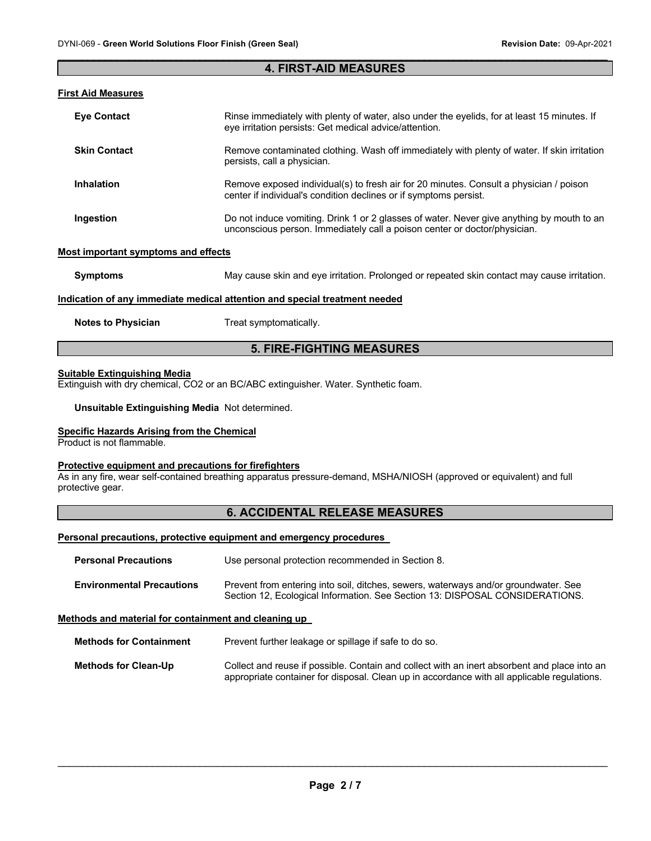#### $\mathcal{L}_\mathcal{L} = \mathcal{L}_\mathcal{L} = \mathcal{L}_\mathcal{L} = \mathcal{L}_\mathcal{L} = \mathcal{L}_\mathcal{L} = \mathcal{L}_\mathcal{L} = \mathcal{L}_\mathcal{L} = \mathcal{L}_\mathcal{L} = \mathcal{L}_\mathcal{L} = \mathcal{L}_\mathcal{L} = \mathcal{L}_\mathcal{L} = \mathcal{L}_\mathcal{L} = \mathcal{L}_\mathcal{L} = \mathcal{L}_\mathcal{L} = \mathcal{L}_\mathcal{L} = \mathcal{L}_\mathcal{L} = \mathcal{L}_\mathcal{L}$ **4. FIRST-AID MEASURES**

#### **First Aid Measures**

| <b>Eve Contact</b>  | Rinse immediately with plenty of water, also under the eyelids, for at least 15 minutes. If<br>eye irritation persists: Get medical advice/attention.                  |
|---------------------|------------------------------------------------------------------------------------------------------------------------------------------------------------------------|
| <b>Skin Contact</b> | Remove contaminated clothing. Wash off immediately with plenty of water. If skin irritation<br>persists, call a physician.                                             |
| <b>Inhalation</b>   | Remove exposed individual(s) to fresh air for 20 minutes. Consult a physician / poison<br>center if individual's condition declines or if symptoms persist.            |
| Ingestion           | Do not induce vomiting. Drink 1 or 2 glasses of water. Never give anything by mouth to an<br>unconscious person. Immediately call a poison center or doctor/physician. |

#### **Most important symptoms and effects**

| Symptoms | May cause skin and eye irritation. Prolonged or repeated skin contact may cause irritation. |
|----------|---------------------------------------------------------------------------------------------|
|          |                                                                                             |

#### **Indication of any immediate medical attention and special treatment needed**

**Notes to Physician**  Treat symptomatically.

#### **5. FIRE-FIGHTING MEASURES**

#### **Suitable Extinguishing Media**

Extinguish with dry chemical, CO2 or an BC/ABC extinguisher. Water. Synthetic foam.

**Unsuitable Extinguishing Media** Not determined.

#### **Specific Hazards Arising from the Chemical**

Product is not flammable.

#### **Protective equipment and precautions for firefighters**

As in any fire, wear self-contained breathing apparatus pressure-demand, MSHA/NIOSH (approved or equivalent) and full protective gear.

#### **6. ACCIDENTAL RELEASE MEASURES**

#### **Personal precautions, protective equipment and emergency procedures**

| <b>Personal Precautions</b>      | Use personal protection recommended in Section 8.                                                                                                                   |
|----------------------------------|---------------------------------------------------------------------------------------------------------------------------------------------------------------------|
| <b>Environmental Precautions</b> | Prevent from entering into soil, ditches, sewers, waterways and/or groundwater. See<br>Section 12, Ecological Information. See Section 13: DISPOSAL CONSIDERATIONS. |

#### **Methods and material for containment and cleaning up**

**Methods for Containment** Prevent further leakage or spillage if safe to do so.

**Methods for Clean-Up** Collect and reuse if possible. Contain and collect with an inert absorbent and place into an appropriate container for disposal. Clean up in accordance with all applicable regulations.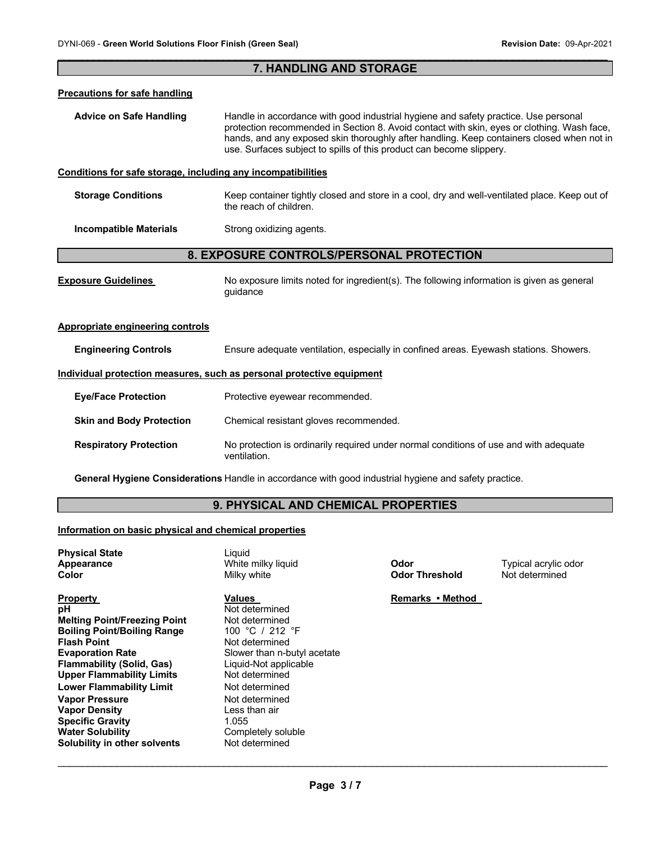## $\mathcal{L}_\mathcal{L} = \mathcal{L}_\mathcal{L} = \mathcal{L}_\mathcal{L} = \mathcal{L}_\mathcal{L} = \mathcal{L}_\mathcal{L} = \mathcal{L}_\mathcal{L} = \mathcal{L}_\mathcal{L} = \mathcal{L}_\mathcal{L} = \mathcal{L}_\mathcal{L} = \mathcal{L}_\mathcal{L} = \mathcal{L}_\mathcal{L} = \mathcal{L}_\mathcal{L} = \mathcal{L}_\mathcal{L} = \mathcal{L}_\mathcal{L} = \mathcal{L}_\mathcal{L} = \mathcal{L}_\mathcal{L} = \mathcal{L}_\mathcal{L}$ **7. HANDLING AND STORAGE Precautions for safe handling Advice on Safe Handling** Handle in accordance with good industrial hygiene and safety practice. Use personal protection recommended in Section 8. Avoid contact with skin, eyes or clothing. Wash face, hands, and any exposed skin thoroughly after handling. Keep containers closed when not in use. Surfaces subject to spills of this product can become slippery. **Conditions for safe storage, including any incompatibilities Storage Conditions** Keep container tightly closed and store in a cool, dry and well-ventilated place. Keep out of the reach of children. **Incompatible Materials Strong oxidizing agents. 8. EXPOSURE CONTROLS/PERSONAL PROTECTION Exposure Guidelines** No exposure limits noted for ingredient(s). The following information is given as general guidance **Appropriate engineering controls Engineering Controls** Ensure adequate ventilation, especially in confined areas. Eyewash stations. Showers. **Individual protection measures, such as personal protective equipment Eye/Face Protection** Protective eyewear recommended. **Skin and Body Protection Chemical resistant gloves recommended. Respiratory Protection** No protection is ordinarily required under normal conditions of use and with adequate ventilation.

**General Hygiene Considerations** Handle in accordance with good industrial hygiene and safety practice.

#### **9. PHYSICAL AND CHEMICAL PROPERTIES**

#### **Information on basic physical and chemical properties**

| <b>Property</b><br>Values<br>рH<br><b>Melting Point/Freezing Point</b><br><b>Boiling Point/Boiling Range</b><br><b>Flash Point</b><br><b>Evaporation Rate</b><br><b>Flammability (Solid, Gas)</b><br><b>Upper Flammability Limits</b><br><b>Lower Flammability Limit</b><br><b>Vapor Pressure</b><br><b>Vapor Density</b><br><b>Specific Gravity</b><br>1.055<br><b>Water Solubility</b><br>Solubility in other solvents | Not determined<br>Not determined<br>100 °C / 212 °F<br>Not determined<br>Slower than n-butyl acetate<br>Liquid-Not applicable<br>Not determined<br>Not determined<br>Not determined<br>Less than air<br>Completely soluble<br>Not determined | Remarks • Method |  |
|--------------------------------------------------------------------------------------------------------------------------------------------------------------------------------------------------------------------------------------------------------------------------------------------------------------------------------------------------------------------------------------------------------------------------|----------------------------------------------------------------------------------------------------------------------------------------------------------------------------------------------------------------------------------------------|------------------|--|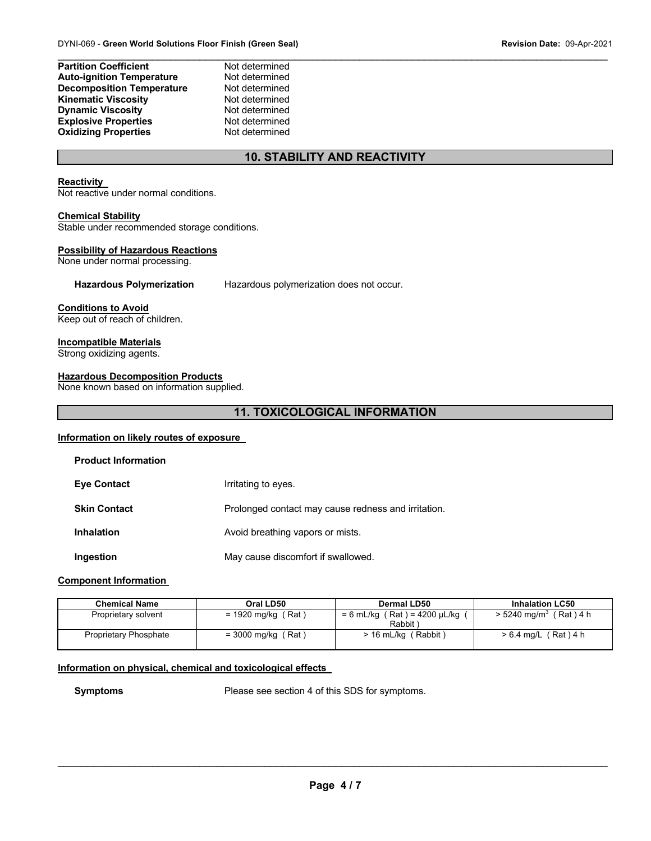| <b>Partition Coefficient</b>     | Not determined |
|----------------------------------|----------------|
| <b>Auto-ignition Temperature</b> | Not determined |
| <b>Decomposition Temperature</b> | Not determined |
| <b>Kinematic Viscosity</b>       | Not determined |
| <b>Dynamic Viscosity</b>         | Not determined |
| <b>Explosive Properties</b>      | Not determined |
| <b>Oxidizing Properties</b>      | Not determined |

#### **10. STABILITY AND REACTIVITY**

#### **Reactivity**

Not reactive under normal conditions.

#### **Chemical Stability**

Stable under recommended storage conditions.

#### **Possibility of Hazardous Reactions**

None under normal processing.

#### **Hazardous Polymerization** Hazardous polymerization does not occur.

#### **Conditions to Avoid**

Keep out of reach of children.

#### **Incompatible Materials**

Strong oxidizing agents.

#### **Hazardous Decomposition Products**

None known based on information supplied.

#### **11. TOXICOLOGICAL INFORMATION**

#### **Information on likely routes of exposure**

| <b>Product Information</b> |                                                     |
|----------------------------|-----------------------------------------------------|
| <b>Eye Contact</b>         | Irritating to eyes.                                 |
| <b>Skin Contact</b>        | Prolonged contact may cause redness and irritation. |
| <b>Inhalation</b>          | Avoid breathing vapors or mists.                    |
| Ingestion                  | May cause discomfort if swallowed.                  |

#### **Component Information**

| <b>Chemical Name</b>  | Oral LD50            | Dermal LD50                                      | <b>Inhalation LC50</b>               |
|-----------------------|----------------------|--------------------------------------------------|--------------------------------------|
| Proprietary solvent   | = 1920 mg/kg (Rat)   | (Rat) = 4200 µL/kg (<br>$= 6$ mL/kg (<br>Rabbit) | $> 5240$ mg/m <sup>3</sup> (Rat) 4 h |
| Proprietary Phosphate | $=$ 3000 mg/kg (Rat) | > 16 mL/kg (Rabbit)                              | $> 6.4$ mg/L (Rat) 4 h               |

#### **Information on physical, chemical and toxicological effects**

**Symptoms** Please see section 4 of this SDS for symptoms.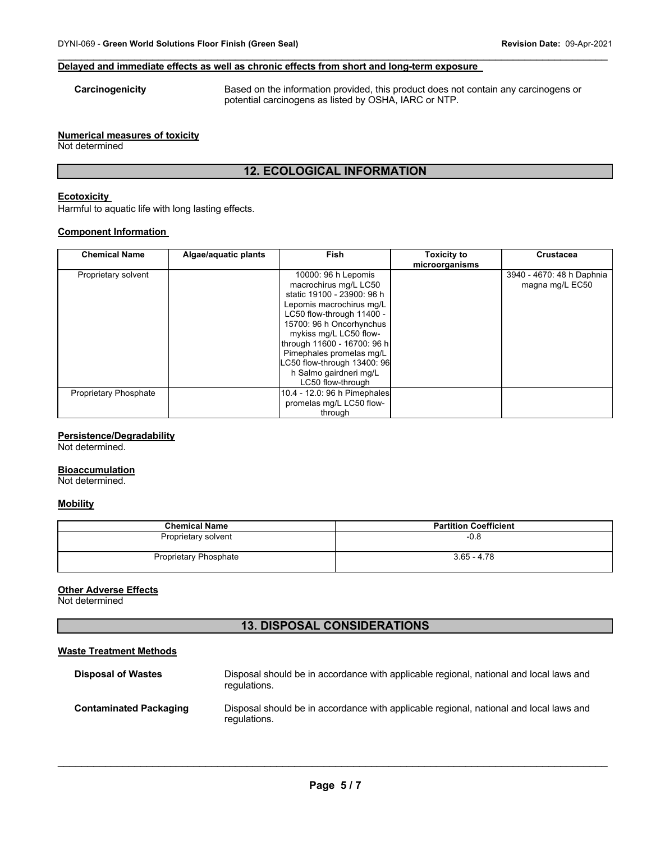#### **Delayed and immediate effects as well as chronic effects from short and long-term exposure**

**Carcinogenicity** Based on the information provided, this product does not contain any carcinogens or potential carcinogens as listed by OSHA, IARC or NTP.

#### **Numerical measures of toxicity**

Not determined

### **12. ECOLOGICAL INFORMATION**

 $\mathcal{L}_\mathcal{L} = \mathcal{L}_\mathcal{L} = \mathcal{L}_\mathcal{L} = \mathcal{L}_\mathcal{L} = \mathcal{L}_\mathcal{L} = \mathcal{L}_\mathcal{L} = \mathcal{L}_\mathcal{L} = \mathcal{L}_\mathcal{L} = \mathcal{L}_\mathcal{L} = \mathcal{L}_\mathcal{L} = \mathcal{L}_\mathcal{L} = \mathcal{L}_\mathcal{L} = \mathcal{L}_\mathcal{L} = \mathcal{L}_\mathcal{L} = \mathcal{L}_\mathcal{L} = \mathcal{L}_\mathcal{L} = \mathcal{L}_\mathcal{L}$ 

#### **Ecotoxicity**

Harmful to aquatic life with long lasting effects.

#### **Component Information**

| <b>Chemical Name</b>         | Algae/aquatic plants | <b>Fish</b>                                                                                                                                                                                                                                                                                                                        | <b>Toxicity to</b><br>microorganisms | <b>Crustacea</b>                             |
|------------------------------|----------------------|------------------------------------------------------------------------------------------------------------------------------------------------------------------------------------------------------------------------------------------------------------------------------------------------------------------------------------|--------------------------------------|----------------------------------------------|
| Proprietary solvent          |                      | 10000: 96 h Lepomis<br>macrochirus mg/L LC50<br>static 19100 - 23900: 96 h<br>Lepomis macrochirus mg/L<br>LC50 flow-through 11400 -<br>15700: 96 h Oncorhynchus<br>mykiss mg/L LC50 flow-<br>through 11600 - 16700: 96 h<br>Pimephales promelas mq/L<br>LC50 flow-through 13400: 96<br>h Salmo gairdneri mg/L<br>LC50 flow-through |                                      | 3940 - 4670: 48 h Daphnia<br>magna mg/L EC50 |
| <b>Proprietary Phosphate</b> |                      | 10.4 - 12.0: 96 h Pimephales<br>promelas mg/L LC50 flow-<br>through                                                                                                                                                                                                                                                                |                                      |                                              |

#### **Persistence/Degradability**

Not determined.

#### **Bioaccumulation**

Not determined.

#### **Mobility**

| <b>Chemical Name</b>         | <b>Partition Coefficient</b> |
|------------------------------|------------------------------|
| Proprietary solvent          | $-0.8$                       |
| <b>Proprietary Phosphate</b> | $3.65 - 4.78$                |

#### **Other Adverse Effects**

Not determined

#### **13. DISPOSAL CONSIDERATIONS**

#### **Waste Treatment Methods**

| <b>Disposal of Wastes</b>     | Disposal should be in accordance with applicable regional, national and local laws and<br>regulations. |
|-------------------------------|--------------------------------------------------------------------------------------------------------|
| <b>Contaminated Packaging</b> | Disposal should be in accordance with applicable regional, national and local laws and<br>regulations. |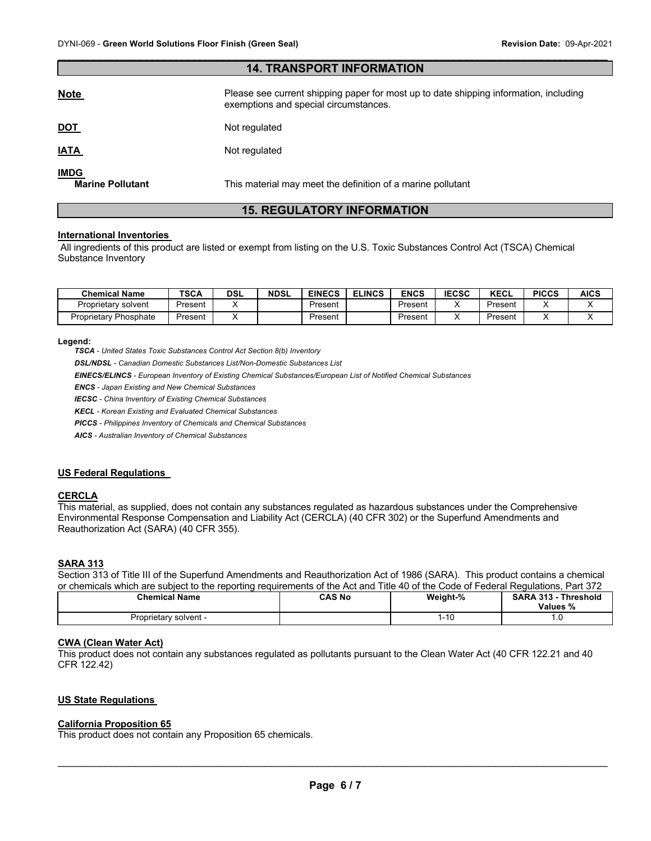| <b>14. TRANSPORT INFORMATION</b>       |                                                                                                                                |  |
|----------------------------------------|--------------------------------------------------------------------------------------------------------------------------------|--|
| <u>Note</u>                            | Please see current shipping paper for most up to date shipping information, including<br>exemptions and special circumstances. |  |
| <u>DOT</u>                             | Not regulated                                                                                                                  |  |
| <u>IATA</u>                            | Not regulated                                                                                                                  |  |
| <b>IMDG</b><br><b>Marine Pollutant</b> | This material may meet the definition of a marine pollutant                                                                    |  |

 $\mathcal{L}_\mathcal{L} = \mathcal{L}_\mathcal{L} = \mathcal{L}_\mathcal{L} = \mathcal{L}_\mathcal{L} = \mathcal{L}_\mathcal{L} = \mathcal{L}_\mathcal{L} = \mathcal{L}_\mathcal{L} = \mathcal{L}_\mathcal{L} = \mathcal{L}_\mathcal{L} = \mathcal{L}_\mathcal{L} = \mathcal{L}_\mathcal{L} = \mathcal{L}_\mathcal{L} = \mathcal{L}_\mathcal{L} = \mathcal{L}_\mathcal{L} = \mathcal{L}_\mathcal{L} = \mathcal{L}_\mathcal{L} = \mathcal{L}_\mathcal{L}$ 

#### **15. REGULATORY INFORMATION**

#### **International Inventories**

All ingredients of this product are listed or exempt from listing on the U.S. Toxic Substances Control Act (TSCA) Chemical Substance Inventory

| <b>Chemical Name</b>         | <b>TSCA</b> | <b>DSL</b> | <b>NDSL</b> | <b>EINECS</b> | <b>ELINCS</b> | ENCS    | <b>IECSC</b> | <b>KECL</b> | <b>PICCS</b> | AICS |
|------------------------------|-------------|------------|-------------|---------------|---------------|---------|--------------|-------------|--------------|------|
| Proprietarv solvent          | Present     |            |             | Present       |               | Present |              | Present     |              |      |
| <b>Proprietary Phosphate</b> | Present     |            |             | Present       |               | Present |              | Present     |              |      |

#### **Legend:**

*TSCA - United States Toxic Substances Control Act Section 8(b) Inventory* 

*DSL/NDSL - Canadian Domestic Substances List/Non-Domestic Substances List* 

*EINECS/ELINCS - European Inventory of Existing Chemical Substances/European List of Notified Chemical Substances* 

*ENCS - Japan Existing and New Chemical Substances* 

*IECSC - China Inventory of Existing Chemical Substances* 

*KECL - Korean Existing and Evaluated Chemical Substances* 

*PICCS - Philippines Inventory of Chemicals and Chemical Substances* 

*AICS - Australian Inventory of Chemical Substances* 

#### **US Federal Regulations**

#### **CERCLA**

This material, as supplied, does not contain any substances regulated as hazardous substances under the Comprehensive Environmental Response Compensation and Liability Act (CERCLA) (40 CFR 302) or the Superfund Amendments and Reauthorization Act (SARA) (40 CFR 355).

#### **SARA 313**

Section 313 of Title III of the Superfund Amendments and Reauthorization Act of 1986 (SARA). This product contains a chemical or chemicals which are subject to the reporting requirements of the Act and Title 40 of the Code of Federal Regulations, Part 372

| <b>Chemical Name</b>  | CAS No | Weight-% | <b>SARA 313 -</b><br>Threshold<br>Values %<br>70 |
|-----------------------|--------|----------|--------------------------------------------------|
| Proprietary solvent - |        | 1-10     | . . U                                            |
| .                     |        |          | $\sim$                                           |

#### **CWA (Clean Water Act)**

This product does not contain any substances regulated as pollutants pursuant to the Clean Water Act (40 CFR 122.21 and 40 CFR 122.42)

#### **US State Regulations**

#### **California Proposition 65**

This product does not contain any Proposition 65 chemicals.